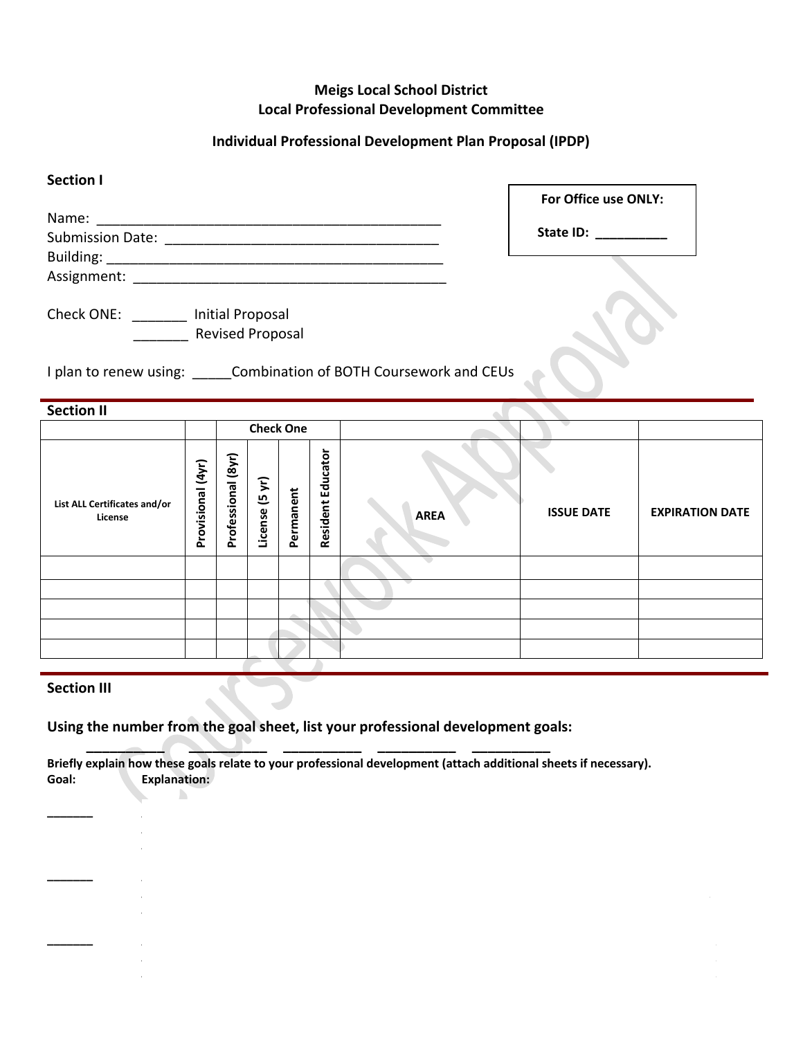# **Meigs Local School District Local Professional Development Committee**

# **Individual Professional Development Plan Proposal (IPDP)**

| <b>Section I</b>                                               | For Office use ONLY: |
|----------------------------------------------------------------|----------------------|
| Name:                                                          |                      |
|                                                                | State ID:            |
|                                                                |                      |
|                                                                |                      |
| Check ONE: Initial Proposal                                    |                      |
| <b>Revised Proposal</b>                                        |                      |
| I plan to renew using: Combination of BOTH Coursework and CEUs |                      |
| Section II                                                     |                      |

| <b>SECUDILII</b>                        |                   |                    |                             |           |                             |             |                   |                        |  |
|-----------------------------------------|-------------------|--------------------|-----------------------------|-----------|-----------------------------|-------------|-------------------|------------------------|--|
|                                         |                   | <b>Check One</b>   |                             |           |                             |             |                   |                        |  |
| List ALL Certificates and/or<br>License | Provisional (4yr) | Professional (8yr) | $\tilde{z}$<br>ம<br>License | Permanent | <b>Educator</b><br>Resident | <b>AREA</b> | <b>ISSUE DATE</b> | <b>EXPIRATION DATE</b> |  |
|                                         |                   |                    |                             |           |                             |             |                   |                        |  |
|                                         |                   |                    |                             |           |                             |             |                   |                        |  |
|                                         |                   |                    |                             |           |                             |             |                   |                        |  |
|                                         |                   |                    |                             |           |                             |             |                   |                        |  |
|                                         |                   |                    |                             |           |                             |             |                   |                        |  |

# **Section III**

 $\mathbb{D}$ 

**Using the number from the goal sheet, list your professional development goals:** 

 **\_\_\_\_\_\_\_\_\_\_ \_\_\_\_\_\_\_\_\_\_ \_\_\_\_\_\_\_\_\_\_ \_\_\_\_\_\_\_\_\_\_ \_\_\_\_\_\_\_\_\_\_ Briefly explain how these goals relate to your professional development (attach additional sheets if necessary). Goal: Explanation:** 

**\_\_\_\_\_\_\_ \_\_\_\_\_\_\_\_\_\_\_\_\_\_\_\_\_\_\_\_\_\_\_\_\_\_\_\_\_\_\_\_\_\_\_\_\_\_\_\_\_\_\_\_\_\_\_\_\_\_\_\_\_\_\_\_\_\_\_\_\_\_\_\_\_\_\_\_\_\_\_\_\_\_\_\_\_\_\_\_\_\_\_\_\_\_**

**\_\_\_\_\_\_\_ \_\_\_\_\_\_\_\_\_\_\_\_\_\_\_\_\_\_\_\_\_\_\_\_\_\_\_\_\_\_\_\_\_\_\_\_\_\_\_\_\_\_\_\_\_\_\_\_\_\_\_\_\_\_\_\_\_\_\_\_\_\_\_\_\_\_\_\_\_\_\_\_\_\_\_\_\_\_\_\_\_\_\_\_\_\_\_**

**\_\_\_\_\_\_\_ \_\_\_\_\_\_\_\_\_\_\_\_\_\_\_\_\_\_\_\_\_\_\_\_\_\_\_\_\_\_\_\_\_\_\_\_\_\_\_\_\_\_\_\_\_\_\_\_\_\_\_\_\_\_\_\_\_\_\_\_\_\_\_\_\_\_\_\_\_\_\_\_\_\_\_\_\_\_\_\_\_\_\_\_\_\_\_\_**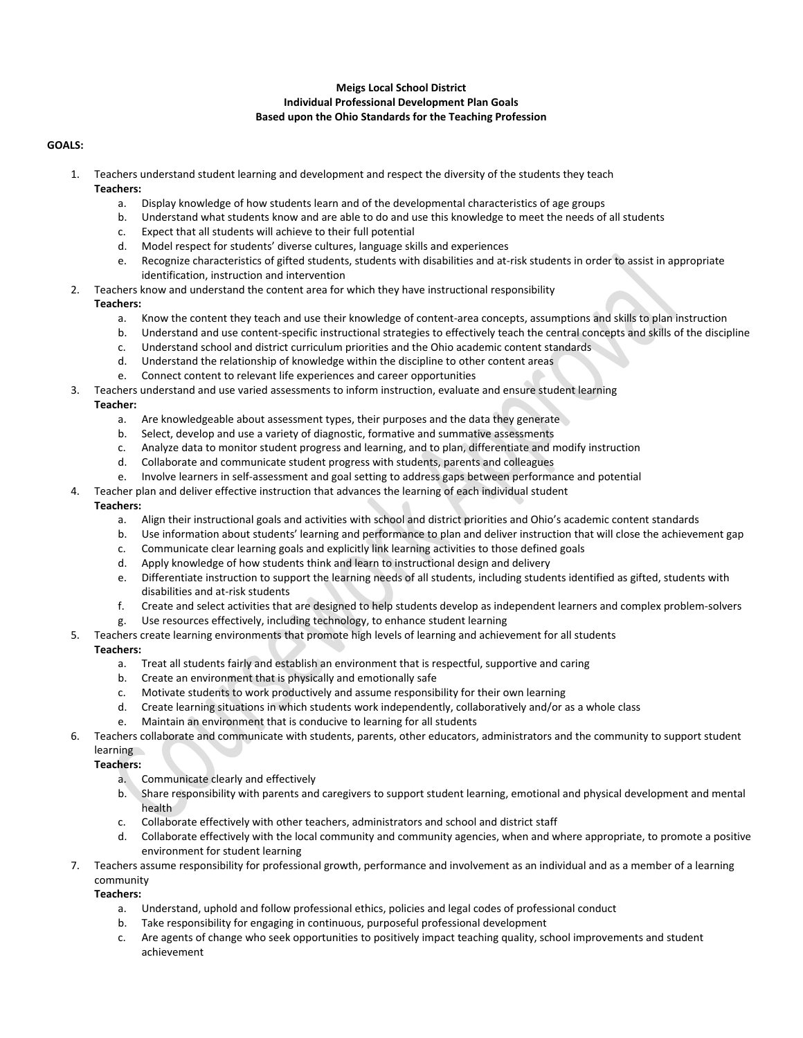## **Meigs Local School District Individual Professional Development Plan Goals Based upon the Ohio Standards for the Teaching Profession**

### **GOALS:**

- 1. Teachers understand student learning and development and respect the diversity of the students they teach **Teachers:** 
	- a. Display knowledge of how students learn and of the developmental characteristics of age groups
	- b. Understand what students know and are able to do and use this knowledge to meet the needs of all students
	- c. Expect that all students will achieve to their full potential
	- d. Model respect for students' diverse cultures, language skills and experiences
	- e. Recognize characteristics of gifted students, students with disabilities and at-risk students in order to assist in appropriate identification, instruction and intervention
- 2. Teachers know and understand the content area for which they have instructional responsibility

#### **Teachers:**

- a. Know the content they teach and use their knowledge of content-area concepts, assumptions and skills to plan instruction
- b. Understand and use content-specific instructional strategies to effectively teach the central concepts and skills of the discipline
- c. Understand school and district curriculum priorities and the Ohio academic content standards
- d. Understand the relationship of knowledge within the discipline to other content areas
- e. Connect content to relevant life experiences and career opportunities
- 3. Teachers understand and use varied assessments to inform instruction, evaluate and ensure student learning

#### **Teacher:**

- a. Are knowledgeable about assessment types, their purposes and the data they generate
- b. Select, develop and use a variety of diagnostic, formative and summative assessments
- c. Analyze data to monitor student progress and learning, and to plan, differentiate and modify instruction
- d. Collaborate and communicate student progress with students, parents and colleagues
- e. Involve learners in self-assessment and goal setting to address gaps between performance and potential
- Teacher plan and deliver effective instruction that advances the learning of each individual student

#### **Teachers:**

- a. Align their instructional goals and activities with school and district priorities and Ohio's academic content standards
- b. Use information about students' learning and performance to plan and deliver instruction that will close the achievement gap
- c. Communicate clear learning goals and explicitly link learning activities to those defined goals
- d. Apply knowledge of how students think and learn to instructional design and delivery
- e. Differentiate instruction to support the learning needs of all students, including students identified as gifted, students with disabilities and at-risk students
- f. Create and select activities that are designed to help students develop as independent learners and complex problem-solvers
- g. Use resources effectively, including technology, to enhance student learning
- 5. Teachers create learning environments that promote high levels of learning and achievement for all students

## **Teachers:**

- a. Treat all students fairly and establish an environment that is respectful, supportive and caring
- b. Create an environment that is physically and emotionally safe
- c. Motivate students to work productively and assume responsibility for their own learning
- d. Create learning situations in which students work independently, collaboratively and/or as a whole class
- e. Maintain an environment that is conducive to learning for all students
- 6. Teachers collaborate and communicate with students, parents, other educators, administrators and the community to support student **learning**

# **Teachers:**

- a. Communicate clearly and effectively
- b. Share responsibility with parents and caregivers to support student learning, emotional and physical development and mental health
- c. Collaborate effectively with other teachers, administrators and school and district staff
- d. Collaborate effectively with the local community and community agencies, when and where appropriate, to promote a positive environment for student learning
- 7. Teachers assume responsibility for professional growth, performance and involvement as an individual and as a member of a learning community

## **Teachers:**

- a. Understand, uphold and follow professional ethics, policies and legal codes of professional conduct
- b. Take responsibility for engaging in continuous, purposeful professional development
- c. Are agents of change who seek opportunities to positively impact teaching quality, school improvements and student achievement